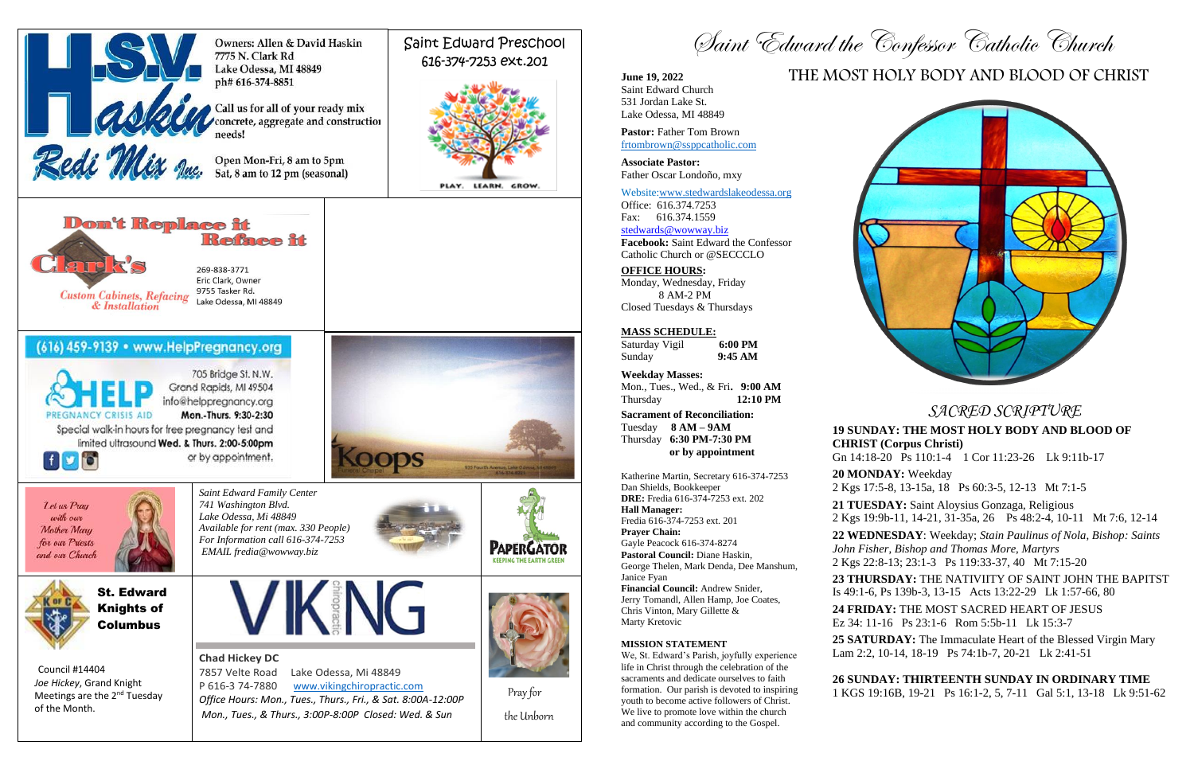*SACRED SCRIPTURE*

## **19 SUNDAY: THE MOST HOLY BODY AND BLOOD OF CHRIST (Corpus Christi)**

Gn 14:18-20 Ps 110:1-4 1 Cor 11:23-26 Lk 9:11b-17 **20 MONDAY:** Weekday

2 Kgs 17:5-8, 13-15a, 18 Ps 60:3-5, 12-13 Mt 7:1-5

**21 TUESDAY:** Saint Aloysius Gonzaga, Religious 2 Kgs 19:9b-11, 14-21, 31-35a, 26 Ps 48:2-4, 10-11 Mt 7:6, 12-14

**22 WEDNESDAY**: Weekday; *Stain Paulinus of Nola, Bishop: Saints John Fisher, Bishop and Thomas More, Martyrs*

2 Kgs 22:8-13; 23:1-3 Ps 119:33-37, 40 Mt 7:15-20

**23 THURSDAY:** THE NATIVIITY OF SAINT JOHN THE BAPITST Is 49:1-6, Ps 139b-3, 13-15 Acts 13:22-29 Lk 1:57-66, 80

**24 FRIDAY:** THE MOST SACRED HEART OF JESUS

Ez 34: 11-16 Ps 23:1-6 Rom 5:5b-11 Lk 15:3-7

**25 SATURDAY:** The Immaculate Heart of the Blessed Virgin Mary Lam 2:2, 10-14, 18-19 Ps 74:1b-7, 20-21 Lk 2:41-51

## **26 SUNDAY: THIRTEENTH SUNDAY IN ORDINARY TIME**

1 KGS 19:16B, 19-21 Ps 16:1-2, 5, 7-11 Gal 5:1, 13-18 Lk 9:51-62





# THE MOST HOLY BODY AND BLOOD OF CHRIST